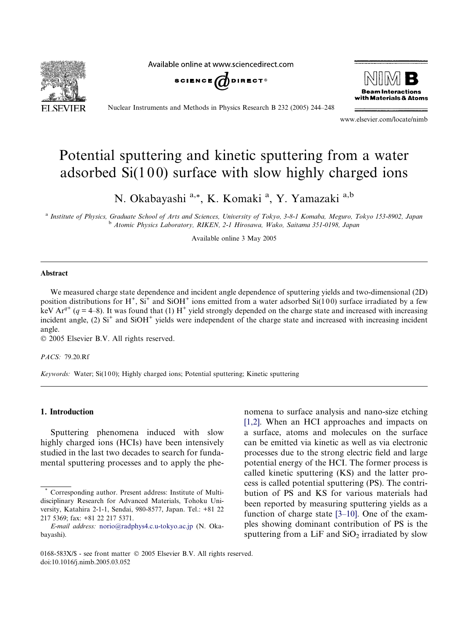Available online at www.sciencedirect.com







Nuclear Instruments and Methods in Physics Research B 232 (2005) 244–248

www.elsevier.com/locate/nimb

# Potential sputtering and kinetic sputtering from a water adsorbed  $Si(100)$  surface with slow highly charged ions

N. Okabayashi a,\*, K. Komaki <sup>a</sup>, Y. Yamazaki <sup>a,b</sup>

<sup>a</sup> Institute of Physics, Graduate School of Arts and Sciences, University of Tokyo, 3-8-1 Komaba, Meguro, Tokyo 153-8902, Japan <sup>b</sup> Atomic Physics Laboratory, RIKEN, 2-1 Hirosawa, Wako, Saitama 351-0198, Japan

Available online 3 May 2005

#### Abstract

We measured charge state dependence and incident angle dependence of sputtering yields and two-dimensional (2D) position distributions for  $H^+$ ,  $Si^+$  and  $SiOH^+$  ions emitted from a water adsorbed  $Si(100)$  surface irradiated by a few keV Ar<sup>q+</sup> (q = 4–8). It was found that (1) H<sup>+</sup> yield strongly depended on the charge state and increased with increasing incident angle,  $(2)$  Si<sup>+</sup> and SiOH<sup>+</sup> yields were independent of the charge state and increased with increasing incident angle.

2005 Elsevier B.V. All rights reserved.

PACS: 79.20.Rf

Keywords: Water; Si(100); Highly charged ions; Potential sputtering; Kinetic sputtering

### 1. Introduction

Sputtering phenomena induced with slow highly charged ions (HCIs) have been intensively studied in the last two decades to search for fundamental sputtering processes and to apply the phenomena to surface analysis and nano-size etching [\[1,2\].](#page-3-0) When an HCI approaches and impacts on a surface, atoms and molecules on the surface can be emitted via kinetic as well as via electronic processes due to the strong electric field and large potential energy of the HCI. The former process is called kinetic sputtering (KS) and the latter process is called potential sputtering (PS). The contribution of PS and KS for various materials had been reported by measuring sputtering yields as a function of charge state [\[3–10\].](#page-3-0) One of the examples showing dominant contribution of PS is the sputtering from a LiF and  $SiO<sub>2</sub>$  irradiated by slow

Corresponding author. Present address: Institute of Multidisciplinary Research for Advanced Materials, Tohoku University, Katahira 2-1-1, Sendai, 980-8577, Japan. Tel.: +81 22 217 5369; fax: +81 22 217 5371.

E-mail address: [norio@radphys4.c.u-tokyo.ac.jp](mailto:norio@radphys4.c.u-tokyo.ac.jp) (N. Okabayashi).

<sup>0168-583</sup>X/\$ - see front matter © 2005 Elsevier B.V. All rights reserved. doi:10.1016/j.nimb.2005.03.052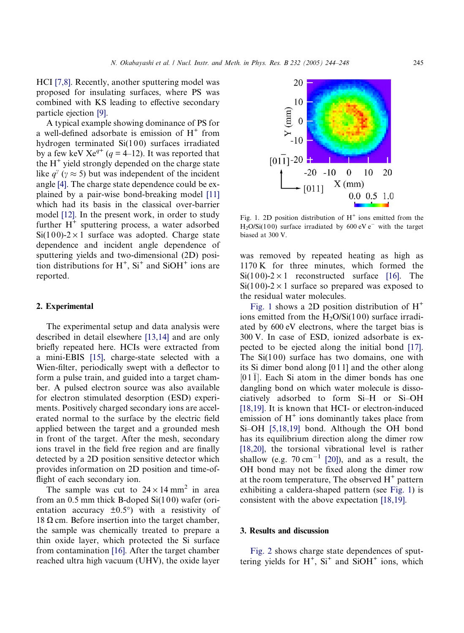HCI [\[7,8\].](#page-4-0) Recently, another sputtering model was proposed for insulating surfaces, where PS was combined with KS leading to effective secondary particle ejection [\[9\]](#page-4-0).

A typical example showing dominance of PS for a well-defined adsorbate is emission of  $H^+$  from hydrogen terminated  $Si(100)$  surfaces irradiated by a few keV  $Xe^{q^+}$  ( $q = 4$ –12). It was reported that the  $H^+$  yield strongly depended on the charge state like  $q^{\gamma}$  ( $\gamma \approx 5$ ) but was independent of the incident angle [\[4\].](#page-3-0) The charge state dependence could be explained by a pair-wise bond-breaking model [\[11\]](#page-4-0) which had its basis in the classical over-barrier model [\[12\]](#page-4-0). In the present work, in order to study further  $H^+$  sputtering process, a water adsorbed  $Si(100)$ -2 × 1 surface was adopted. Charge state dependence and incident angle dependence of sputtering yields and two-dimensional (2D) position distributions for  $H^+$ ,  $Si^+$  and  $SiOH^+$  ions are reported.

#### 2. Experimental

The experimental setup and data analysis were described in detail elsewhere [\[13,14\]](#page-4-0) and are only briefly repeated here. HCIs were extracted from a mini-EBIS [\[15\]](#page-4-0), charge-state selected with a Wien-filter, periodically swept with a deflector to form a pulse train, and guided into a target chamber. A pulsed electron source was also available for electron stimulated desorption (ESD) experiments. Positively charged secondary ions are accelerated normal to the surface by the electric field applied between the target and a grounded mesh in front of the target. After the mesh, secondary ions travel in the field free region and are finally detected by a 2D position sensitive detector which provides information on 2D position and time-offlight of each secondary ion.

The sample was cut to  $24 \times 14$  mm<sup>2</sup> in area from an  $0.5$  mm thick B-doped  $Si(100)$  wafer (orientation accuracy  $\pm 0.5^{\circ}$ ) with a resistivity of 18  $\Omega$  cm. Before insertion into the target chamber, the sample was chemically treated to prepare a thin oxide layer, which protected the Si surface from contamination [\[16\]](#page-4-0). After the target chamber reached ultra high vacuum (UHV), the oxide layer



Fig. 1. 2D position distribution of  $H^+$  ions emitted from the  $H<sub>2</sub>O/Si(100)$  surface irradiated by 600 eV e<sup>-</sup> with the target biased at 300 V.

was removed by repeated heating as high as 1170 K for three minutes, which formed the  $Si(100)-2\times1$  reconstructed surface [\[16\]](#page-4-0). The  $Si(100)$ -2 × 1 surface so prepared was exposed to the residual water molecules.

Fig. 1 shows a 2D position distribution of  $H^+$ ions emitted from the  $H<sub>2</sub>O/Si(100)$  surface irradiated by 600 eV electrons, where the target bias is 300 V. In case of ESD, ionized adsorbate is expected to be ejected along the initial bond [\[17\]](#page-4-0). The  $Si(100)$  surface has two domains, one with its Si dimer bond along [0 1 1] and the other along  $[011]$ . Each Si atom in the dimer bonds has one dangling bond on which water molecule is dissociatively adsorbed to form Si–H or Si–OH [\[18,19\].](#page-4-0) It is known that HCI- or electron-induced emission of  $H<sup>+</sup>$  ions dominantly takes place from Si–OH [\[5,18,19\]](#page-3-0) bond. Although the OH bond has its equilibrium direction along the dimer row [\[18,20\],](#page-4-0) the torsional vibrational level is rather shallow (e.g.  $70 \text{ cm}^{-1}$  [\[20\]\)](#page-4-0), and as a result, the OH bond may not be fixed along the dimer row at the room temperature, The observed  $H^+$  pattern exhibiting a caldera-shaped pattern (see Fig. 1) is consistent with the above expectation [\[18,19\].](#page-4-0)

# 3. Results and discussion

[Fig. 2](#page-2-0) shows charge state dependences of sputtering yields for  $H^+$ ,  $Si^+$  and  $SiOH^+$  ions, which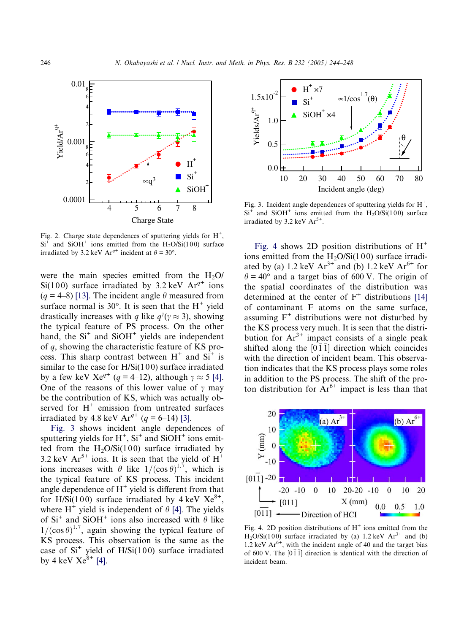<span id="page-2-0"></span>

Fig. 2. Charge state dependences of sputtering yields for  $H^+$ ,  $Si<sup>+</sup>$  and  $SiOH<sup>+</sup>$  ions emitted from the H<sub>2</sub>O/Si(100) surface irradiated by 3.2 keV Ar<sup>q+</sup> incident at  $\theta = 30^{\circ}$ .

were the main species emitted from the  $H<sub>2</sub>O$ Si(100) surface irradiated by 3.2 keV  $Ar^{q+}$  ions  $(q = 4-8)$  [\[13\].](#page-4-0) The incident angle  $\theta$  measured from surface normal is  $30^{\circ}$ . It is seen that the H<sup>+</sup> yield drastically increases with q like  $q^{\gamma}(\gamma \approx 3)$ , showing the typical feature of PS process. On the other hand, the  $Si<sup>+</sup>$  and  $SiOH<sup>+</sup>$  yields are independent of q, showing the characteristic feature of KS process. This sharp contrast between  $H^+$  and  $Si^+$  is similar to the case for  $H/Si(100)$  surface irradiated by a few keV Xe<sup>q+</sup> (q = 4–12), although  $\gamma \approx 5$  [\[4\].](#page-3-0) One of the reasons of this lower value of  $\gamma$  may be the contribution of KS, which was actually observed for  $H^+$  emission from untreated surfaces irradiated by 4.8 keV  $Ar^{q+}$  (q = 6–14) [\[3\]](#page-3-0).

Fig. 3 shows incident angle dependences of sputtering yields for  $H^+$ ,  $Si^+$  and  $SiOH^+$  ions emitted from the  $H_2O/Si(100)$  surface irradiated by 3.2 keV  $Ar^{5+}$  ions. It is seen that the yield of  $H^+$ ions increases with  $\theta$  like  $1/(\cos \theta)^{1.7}$ , which is the typical feature of KS process. This incident angle dependence of  $H^+$  yield is different from that for H/Si(100) surface irradiated by  $4 \text{ keV}$   $Xe^{8+}$ , where  $H^+$  yield is independent of  $\theta$  [\[4\].](#page-3-0) The yields of Si<sup>+</sup> and SiOH<sup>+</sup> ions also increased with  $\theta$  like  $1/(\cos \theta)^{1.7}$ , again showing the typical feature of KS process. This observation is the same as the case of  $Si<sup>+</sup>$  yield of H/Si(100) surface irradiated by 4 keV  $Xe^{8+}$  [\[4\].](#page-3-0)



Fig. 3. Incident angle dependences of sputtering yields for  $H^+$ ,  $Si<sup>+</sup>$  and  $SiOH<sup>+</sup>$  ions emitted from the H<sub>2</sub>O/Si(100) surface irradiated by  $3.2 \text{ keV Ar}^{5+}$ .

Fig. 4 shows 2D position distributions of  $H^+$ ions emitted from the  $H_2O/Si(100)$  surface irradiated by (a) 1.2 keV  $Ar^{3+}$  and (b) 1.2 keV  $Ar^{6+}$  for  $\theta = 40^{\circ}$  and a target bias of 600 V. The origin of the spatial coordinates of the distribution was determined at the center of  $F^+$  distributions [\[14\]](#page-4-0) of contaminant F atoms on the same surface, assuming  $F^+$  distributions were not disturbed by the KS process very much. It is seen that the distribution for  $Ar^{3+}$  impact consists of a single peak shifted along the  $[0\bar{1}\bar{1}]$  direction which coincides with the direction of incident beam. This observation indicates that the KS process plays some roles in addition to the PS process. The shift of the proton distribution for  $Ar^{6+}$  impact is less than that



Fig. 4. 2D position distributions of  $H^+$  ions emitted from the H<sub>2</sub>O/Si(100) surface irradiated by (a) 1.2 keV  $Ar^{3+}$  and (b) 1.2 keV  $Ar^{6+}$ , with the incident angle of 40 and the target bias of 600 V. The  $[0\bar{1}\bar{1}]$  direction is identical with the direction of incident beam.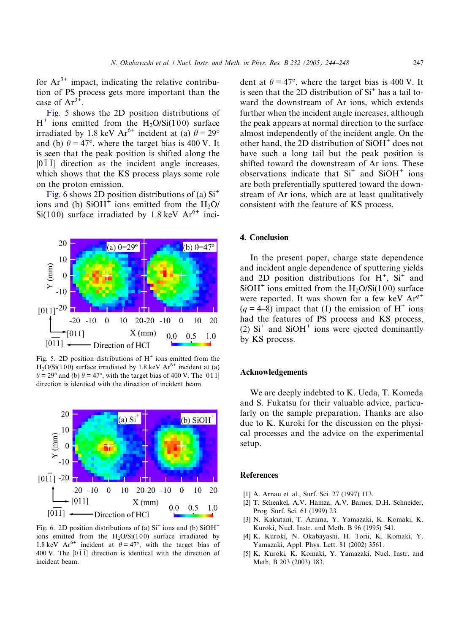<span id="page-3-0"></span>for  $Ar^{3+}$  impact, indicating the relative contribution of PS process gets more important than the case of  $Ar^{3+}$ .

Fig. 5 shows the 2D position distributions of  $H^+$  ions emitted from the H<sub>2</sub>O/Si(100) surface irradiated by 1.8 keV Ar<sup>6+</sup> incident at (a)  $\theta = 29^\circ$ and (b)  $\theta = 47^{\circ}$ , where the target bias is 400 V. It is seen that the peak position is shifted along the [011] direction as the incident angle increases, which shows that the KS process plays some role on the proton emission.

Fig. 6 shows 2D position distributions of (a)  $Si<sup>+</sup>$ ions and (b)  $SiOH<sup>+</sup>$  ions emitted from the H<sub>2</sub>O/  $Si(100)$  surface irradiated by 1.8 keV Ar<sup>6+</sup> inci-



Fig. 5. 2D position distributions of  $H^+$  ions emitted from the  $H_2O/Si(100)$  surface irradiated by 1.8 keV  $Ar<sup>6+</sup>$  incident at (a)  $\theta$  = 29° and (b)  $\theta$  = 47°, with the target bias of 400 V. The [0  $\overline{1}$ ] direction is identical with the direction of incident beam.



Fig. 6. 2D position distributions of (a)  $Si<sup>+</sup>$  ions and (b)  $SiOH<sup>+</sup>$ ions emitted from the  $H<sub>2</sub>O/Si(100)$  surface irradiated by 1.8 keV Ar<sup>6+</sup> incident at  $\theta = 47^{\circ}$ , with the target bias of 400 V. The  $[0\bar{1}\bar{1}]$  direction is identical with the direction of incident beam.

dent at  $\theta = 47^{\circ}$ , where the target bias is 400 V. It is seen that the 2D distribution of  $Si<sup>+</sup>$  has a tail toward the downstream of Ar ions, which extends further when the incident angle increases, although the peak appears at normal direction to the surface almost independently of the incident angle. On the other hand, the 2D distribution of  $SiOH<sup>+</sup>$  does not have such a long tail but the peak position is shifted toward the downstream of Ar ions. These observations indicate that  $Si<sup>+</sup>$  and  $SiOH<sup>+</sup>$  ions are both preferentially sputtered toward the downstream of Ar ions, which are at least qualitatively consistent with the feature of KS process.

# 4. Conclusion

In the present paper, charge state dependence and incident angle dependence of sputtering yields and 2D position distributions for  $H^+$ ,  $Si^+$  and  $SiOH<sup>+</sup>$  ions emitted from the H<sub>2</sub>O/Si(100) surface were reported. It was shown for a few keV  $Ar^{q+}$  $(q = 4-8)$  impact that (1) the emission of H<sup>+</sup> ions had the features of PS process and KS process, (2)  $Si<sup>+</sup>$  and  $SiOH<sup>+</sup>$  ions were ejected dominantly by KS process.

## Acknowledgements

We are deeply indebted to K. Ueda, T. Komeda and S. Fukatsu for their valuable advice, particularly on the sample preparation. Thanks are also due to K. Kuroki for the discussion on the physical processes and the advice on the experimental setup.

# References

- [1] A. Arnau et al., Surf. Sci. 27 (1997) 113.
- [2] T. Schenkel, A.V. Hamza, A.V. Barnes, D.H. Schneider, Prog. Surf. Sci. 61 (1999) 23.
- [3] N. Kakutani, T. Azuma, Y. Yamazaki, K. Komaki, K. Kuroki, Nucl. Instr. and Meth. B 96 (1995) 541.
- [4] K. Kuroki, N. Okabayashi, H. Torii, K. Komaki, Y. Yamazaki, Appl. Phys. Lett. 81 (2002) 3561.
- [5] K. Kuroki, K. Komaki, Y. Yamazaki, Nucl. Instr. and Meth. B 203 (2003) 183.